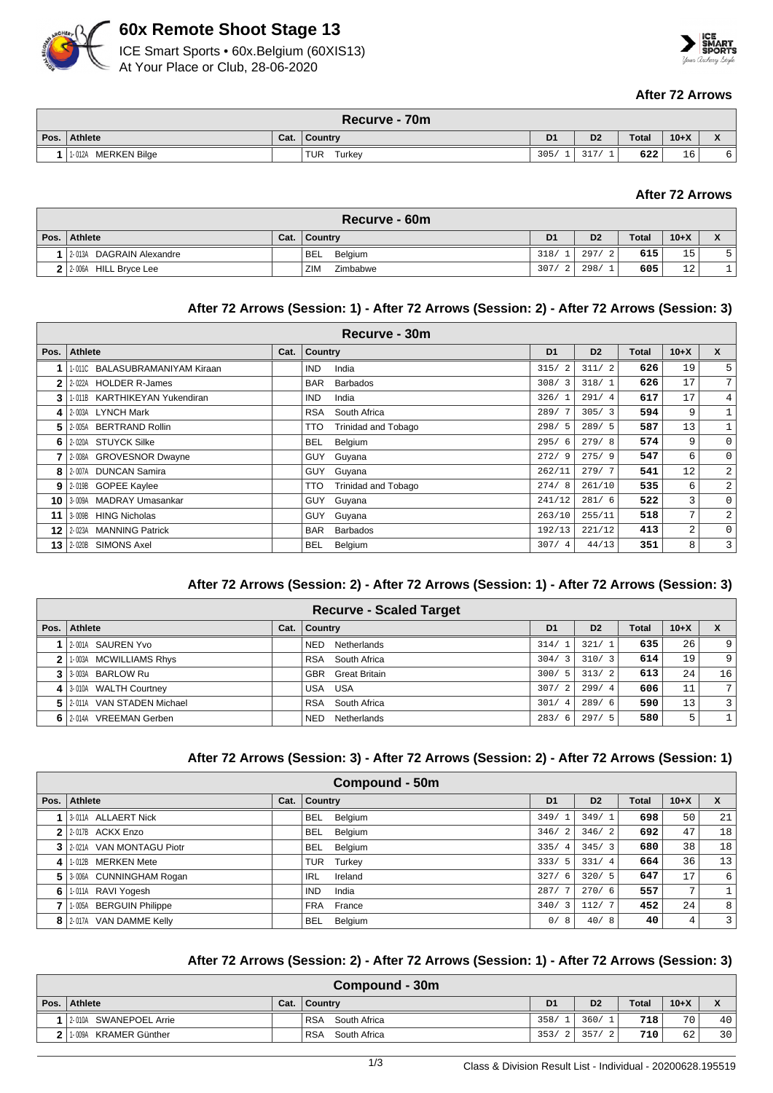

# **60x Remote Shoot Stage 13**





#### **After 72 Arrows**

|      | Recurve - 70m          |      |               |                  |                                                              |              |        |              |  |  |
|------|------------------------|------|---------------|------------------|--------------------------------------------------------------|--------------|--------|--------------|--|--|
| Pos. | Athlete                | Cat. | Country       | D <sub>1</sub>   | D <sub>2</sub>                                               | <b>Total</b> | $10+X$ | $\mathbf{v}$ |  |  |
|      | MERKEN Bilge<br>1-012A |      | TUR<br>Turkey | 305/<br><b>.</b> | $\mathbf{a} \cdot \mathbf{b} \cdot \mathbf{b}$<br><u>JII</u> | 622          | 16     | 6            |  |  |

## **After 72 Arrows**

| Recurve - 60m                 |      |                       |                |                |              |        |                            |  |  |
|-------------------------------|------|-----------------------|----------------|----------------|--------------|--------|----------------------------|--|--|
| Pos. Athlete                  | Cat. | Country               | D <sub>1</sub> | D <sub>2</sub> | <b>Total</b> | $10+X$ | $\mathbf{v}$<br>$\sqrt{ }$ |  |  |
| 2-013A DAGRAIN Alexandre      |      | <b>BEL</b><br>Belgium | 318/           | 297/           | 615          | 15     | $\overline{\phantom{0}}$   |  |  |
| $2 2-006A $<br>HILL Bryce Lee |      | ZIM<br>Zimbabwe       | 307/<br>-2     | 298/           | 605          | 12     |                            |  |  |

### **After 72 Arrows (Session: 1) - After 72 Arrows (Session: 2) - After 72 Arrows (Session: 3)**

|      | Recurve - 30m                  |      |                                   |                |                |       |                |                |  |  |  |
|------|--------------------------------|------|-----------------------------------|----------------|----------------|-------|----------------|----------------|--|--|--|
| Pos. | <b>Athlete</b>                 | Cat. | <b>Country</b>                    | D <sub>1</sub> | D <sub>2</sub> | Total | $10+X$         | $\mathsf{x}$   |  |  |  |
|      | 1-011C BALASUBRAMANIYAM Kiraan |      | <b>IND</b><br>India               | 315/2          | 311/2          | 626   | 19             | 5 <sup>1</sup> |  |  |  |
| 2.   | 2-022A HOLDER R-James          |      | <b>BAR</b><br><b>Barbados</b>     | 308/3          | 318/1          | 626   | 17             | 7 <sup>1</sup> |  |  |  |
| 3    | 1-011B KARTHIKEYAN Yukendiran  |      | IND.<br>India                     | 326/1          | 291/4          | 617   | 17             | 4 <sup>1</sup> |  |  |  |
| 4    | 2-003A LYNCH Mark              |      | <b>RSA</b><br>South Africa        | 289/7          | 305/3          | 594   | 9              |                |  |  |  |
| 5.   | 2-005A BERTRAND Rollin         |      | Trinidad and Tobago<br><b>TTO</b> | 298/5          | 289/5          | 587   | 13             | $\mathbf{1}$   |  |  |  |
| 6    | 2-020A STUYCK Silke            |      | <b>BEL</b><br>Belgium             | 295/6          | 279/8          | 574   | 9              | $\circ$        |  |  |  |
|      | 2-008A GROVESNOR Dwayne        |      | <b>GUY</b><br>Guyana              | 272/9          | 275/9          | 547   | 6              | $\circ$        |  |  |  |
| 8    | 2-007A DUNCAN Samira           |      | Guyana<br>GUY                     | 262/11         | 279/7          | 541   | 12             | $\overline{2}$ |  |  |  |
| 9    | 2-019B GOPEE Kaylee            |      | Trinidad and Tobago<br><b>TTO</b> | 274/8          | 261/10         | 535   | 6              | $\overline{2}$ |  |  |  |
| 10 I | 3-009A MADRAY Umasankar        |      | Guyana<br><b>GUY</b>              | 241/12         | 281/6          | 522   | 3              | $\circ$        |  |  |  |
| 11   | 3-009B HING Nicholas           |      | Guyana<br><b>GUY</b>              | 263/10         | 255/11         | 518   | 7              | $\overline{2}$ |  |  |  |
| 12   | 2-023A MANNING Patrick         |      | <b>BAR</b><br><b>Barbados</b>     | 192/13         | 221/12         | 413   | $\overline{a}$ | $\circ$        |  |  |  |
| 13   | 2-020B SIMONS Axel             |      | <b>BEL</b><br>Belgium             | 307/4          | 44/13          | 351   | 8              | $\overline{3}$ |  |  |  |

## **After 72 Arrows (Session: 2) - After 72 Arrows (Session: 1) - After 72 Arrows (Session: 3)**

|                | <b>Recurve - Scaled Target</b> |      |                           |                        |                |              |        |    |  |  |
|----------------|--------------------------------|------|---------------------------|------------------------|----------------|--------------|--------|----|--|--|
|                | Pos.   Athlete                 | Cat. | <b>Country</b>            | D <sub>1</sub>         | D <sub>2</sub> | <b>Total</b> | $10+X$ |    |  |  |
|                | 1 2-001A SAUREN Yvo            |      | <b>NED</b><br>Netherlands | 314/1                  | 321/1          | 635          | 26     | 9  |  |  |
| 2 <sup>1</sup> | 1-003A MCWILLIAMS Rhys         |      | RSA South Africa          | 304/3                  | 310/3          | 614          | 19     | 9  |  |  |
|                | 3 3 3 003A BARLOW Ru           |      | <b>GBR</b> Great Britain  | 300/5                  | 313/2          | 613          | 24     | 16 |  |  |
|                | 4 3 010A WALTH Courtney        |      | USA USA                   | 307/2                  | 299/4          | 606          | 11     | 7  |  |  |
|                | 5 2011A VAN STADEN Michael     |      | South Africa<br>RSA       | 301/<br>$\overline{4}$ | 289/6          | 590          | 13     | 3  |  |  |
|                | 6 2014A VREEMAN Gerben         |      | <b>NED</b><br>Netherlands | 283/6                  | 297/5          | 580          | 5      |    |  |  |

#### **After 72 Arrows (Session: 3) - After 72 Arrows (Session: 2) - After 72 Arrows (Session: 1)**

|                | Compound - 50m           |      |                       |                        |                |              |                |                  |  |  |
|----------------|--------------------------|------|-----------------------|------------------------|----------------|--------------|----------------|------------------|--|--|
| Pos.           | Athlete                  | Cat. | <b>Country</b>        | D <sub>1</sub>         | D <sub>2</sub> | <b>Total</b> | $10+X$         | <b>X</b>         |  |  |
|                | 3-011A ALLAERT Nick      |      | Belgium<br><b>BEL</b> | 349/1                  | 349/1          | 698          | 50             | 21               |  |  |
|                | 2 2 2 017B ACKX Enzo     |      | <b>BEL</b><br>Belgium | 346/2                  | 346/2          | 692          | 47             | 18               |  |  |
| 3 <sup>1</sup> | 2-021A VAN MONTAGU Piotr |      | Belgium<br><b>BEL</b> | 335/<br>$\overline{4}$ | 345/3          | 680          | 38             | 18               |  |  |
| 4              | 1-012B MERKEN Mete       |      | Turkey<br>TUR         | 333/5                  | 331/4          | 664          | 36             | 13               |  |  |
| 5 <sup>1</sup> | 3-006A CUNNINGHAM Rogan  |      | Ireland<br>IRL        | 327/<br>- 6            | 320/5          | 647          | 17             | $6 \overline{6}$ |  |  |
| 6              | 1-011A RAVI Yogesh       |      | <b>IND</b><br>India   | 287/7                  | 270/6          | 557          | 7 <sub>1</sub> | 1                |  |  |
|                | 1-005A BERGUIN Philippe  |      | FRA France            | 340/3                  | 112/7          | 452          | 24             | 8 <sup>1</sup>   |  |  |
|                | 8 2-017A VAN DAMME Kelly |      | Belgium<br><b>BEL</b> | 0/8                    | 40/8           | 40           | 4              | $\overline{3}$   |  |  |

# **After 72 Arrows (Session: 2) - After 72 Arrows (Session: 1) - After 72 Arrows (Session: 3)**

| Compound - 30m |                          |      |                            |                |                |              |        |                           |  |
|----------------|--------------------------|------|----------------------------|----------------|----------------|--------------|--------|---------------------------|--|
| Pos.           | Athlete                  | Cat. | ∣ Countrv                  | D <sub>1</sub> | D <sub>2</sub> | <b>Total</b> | $10+X$ | $\mathbf{v}$<br>$\lambda$ |  |
|                | 2-010A SWANEPOEL Arrie   |      | <b>RSA</b><br>South Africa | 358/1          | 360/           | 718          | 70     | 40                        |  |
|                | KRAMER Günther<br>1-009A |      | South Africa<br><b>RSA</b> | 353/           | 357.           | 710          | 62     | 30                        |  |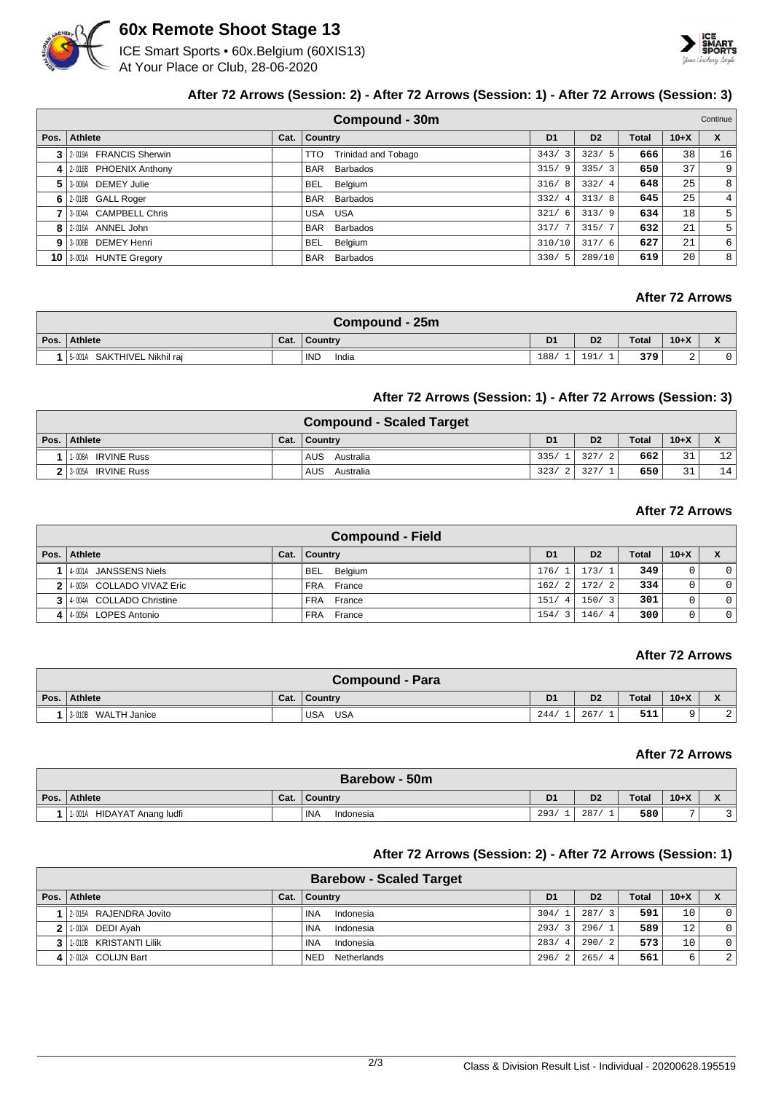

# **60x Remote Shoot Stage 13**

ICE Smart Sports • 60x.Belgium (60XIS13) At Your Place or Club, 28-06-2020



# **After 72 Arrows (Session: 2) - After 72 Arrows (Session: 1) - After 72 Arrows (Session: 3)**

|      | Compound - 30m<br>Continue |      |                                   |                |                |              |        |                  |  |
|------|----------------------------|------|-----------------------------------|----------------|----------------|--------------|--------|------------------|--|
| Pos. | Athlete                    | Cat. | <b>Country</b>                    | D <sub>1</sub> | D <sub>2</sub> | <b>Total</b> | $10+X$ | X                |  |
|      | 3 2019 FRANCIS Sherwin     |      | <b>Trinidad and Tobago</b><br>TTO | 343/3          | 323/5          | 666          | 38     | 16               |  |
|      | 4 2-016B PHOENIX Anthony   |      | Barbados<br><b>BAR</b>            | 315/9          | 335/3          | 650          | 37     | 9 <sup>°</sup>   |  |
|      | 5 3-008A DEMEY Julie       |      | Belgium<br>BEL.                   | 316/<br>- 8    | 332/4          | 648          | 25     | 8                |  |
|      | $6$   2-018B GALL Roger    |      | Barbados<br><b>BAR</b>            | 332/4          | 313/8          | 645          | 25     | 4 <sup>1</sup>   |  |
|      | 3-004A CAMPBELL Chris      |      | <b>USA</b><br>USA                 | 321/<br>-6     | 313/9          | 634          | 18     | 5 <sup>1</sup>   |  |
|      | 8 2-016A ANNEL John        |      | Barbados<br><b>BAR</b>            | 317/7          | 315/7          | 632          | 21     | 5 <sup>1</sup>   |  |
|      | 9 3-008B DEMEY Henri       |      | Belgium<br>BEL                    | 310/10         | 317/6          | 627          | 21     | $6 \overline{6}$ |  |
|      | 10 3-001A HUNTE Gregory    |      | Barbados<br><b>BAR</b>            | 330/5          | 289/10         | 619          | 20     | 8                |  |

# **After 72 Arrows**

|      | Compound - 25m                 |      |                     |                |                |              |        |                              |  |  |
|------|--------------------------------|------|---------------------|----------------|----------------|--------------|--------|------------------------------|--|--|
| Pos. | <b>Athlete</b>                 | Cat. | <b>Country</b>      | D <sub>1</sub> | D <sub>2</sub> | <b>Total</b> | $10+X$ | $\mathbf{v}$<br>$\mathbf{v}$ |  |  |
|      | SAKTHIVEL Nikhil rai<br>5-001A |      | <b>IND</b><br>India | 188/           | 191            | 379          | ∼      | 0                            |  |  |

### **After 72 Arrows (Session: 1) - After 72 Arrows (Session: 3)**

| <b>Compound - Scaled Target</b> |  |                |                |                |              |          |                 |  |  |
|---------------------------------|--|----------------|----------------|----------------|--------------|----------|-----------------|--|--|
| Pos.   Athlete                  |  | Cat.   Country | D <sub>1</sub> | D <sub>2</sub> | <b>Total</b> | $10 + X$ |                 |  |  |
| 1-008A IRVINE Russ              |  | AUS Australia  | $335/1$ 327/   | $\overline{2}$ | 662          | 31       | 12 <sub>1</sub> |  |  |
| 2 3-005A IRVINE Russ            |  | AUS Australia  | 323/2          | 327/           | 650          | 31       | 14              |  |  |

## **After 72 Arrows**

|      | <b>Compound - Field</b>     |      |                      |                |                        |              |        |                |  |  |
|------|-----------------------------|------|----------------------|----------------|------------------------|--------------|--------|----------------|--|--|
| Pos. | Athlete                     | Cat. | Country              | D <sub>1</sub> | D <sub>2</sub>         | <b>Total</b> | $10+X$ |                |  |  |
|      | 14-001A JANSSENS Niels      |      | BEL<br>Belgium       | 176/1          | 173/1                  | 349          |        | 0 <sup>1</sup> |  |  |
|      | 2 4 003A COLLADO VIVAZ Eric |      | FRA France           | 162/2          | 172/2                  | 334          |        | 0 <sup>1</sup> |  |  |
|      | 3 4 004A COLLADO Christine  |      | FRA France           | 151/4          | 150/3                  | 301          |        | 0 <sup>1</sup> |  |  |
|      | 4 4 005A LOPES Antonio      |      | <b>FRA</b><br>France | 154/3          | 146/<br>$\overline{4}$ | 300          |        | 0 <sup>1</sup> |  |  |

#### **After 72 Arrows**

|      | Compound - Para     |      |                   |                |                |       |        |             |  |  |
|------|---------------------|------|-------------------|----------------|----------------|-------|--------|-------------|--|--|
| Pos. | Athlete             | Cat. | <b>Country</b>    | D <sub>1</sub> | D <sub>2</sub> | Total | $10+X$ |             |  |  |
|      | 3-010B WALTH Janice |      | USA<br><b>USA</b> | 244            | 267            | 511   |        | $\sim$<br>▵ |  |  |

#### **After 72 Arrows**

|      | Barebow - 50m                 |      |                    |                |                |              |        |                                                        |  |  |
|------|-------------------------------|------|--------------------|----------------|----------------|--------------|--------|--------------------------------------------------------|--|--|
| Pos. | Athlete                       | Cat. | Country            | D <sub>1</sub> | D <sub>2</sub> | <b>Total</b> | $10+X$ | $\overline{\phantom{a}}$<br>$\boldsymbol{\mathcal{L}}$ |  |  |
|      | 1-001A<br>HIDAYAT Anang ludfi |      | ' INA<br>Indonesia | 293/           | 287            | 580          |        | $\sim$                                                 |  |  |

## **After 72 Arrows (Session: 2) - After 72 Arrows (Session: 1)**

| <b>Barebow - Scaled Target</b> |                         |      |                           |                |                |              |                 |                |  |  |  |  |  |
|--------------------------------|-------------------------|------|---------------------------|----------------|----------------|--------------|-----------------|----------------|--|--|--|--|--|
|                                | Pos. Athlete            | Cat. | <b>Country</b>            | D <sub>1</sub> | D <sub>2</sub> | <b>Total</b> | $10+X$          | X              |  |  |  |  |  |
|                                | 12-015A RAJENDRA Jovito |      | <b>INA</b><br>Indonesia   | 304/1          | 287/3          | 591          | 10              | $\circ$        |  |  |  |  |  |
|                                | $2$   1-010A DEDI Ayah  |      | <b>INA</b><br>Indonesia   | 293/3          | 296/1          | 589          | 12              | $\circ$        |  |  |  |  |  |
|                                | 3 100 KRISTANTI Lilik   |      | INA<br>Indonesia          | 283/4          | 290/2          | 573          | 10 <sub>1</sub> | $\overline{0}$ |  |  |  |  |  |
|                                | 4 2.012A COLIJN Bart    |      | <b>NED</b><br>Netherlands | 296/2          | 265/4          | 561          | 6               | $\overline{2}$ |  |  |  |  |  |